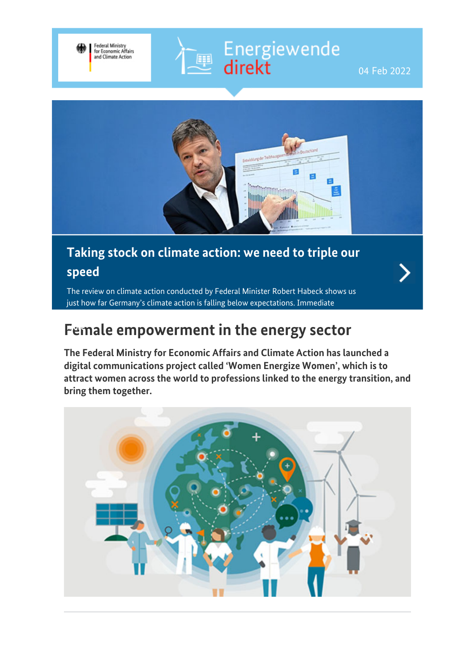

Energiewende<br>
direkt



### **Taking stock on climate action: we need to triple our speed**

.<br>Eşe

The review on climate action conducted by Federal Minister Robert Habeck shows us just how far Germany's climate action is falling below expectations. Immediate

# **[Fem](https://www.bmwi-energiewende.de/EWD/Redaktion/EN/Newsletter/2022/01/Meldung/topthema.html)ale empowerment in the energy sector more**

**The Federal Ministry for Economic Affairs and Climate Action has launched a digital communications project called 'Women Energize Women', which is to attract women across the world to professions linked to the energy transition, and bring them together.**

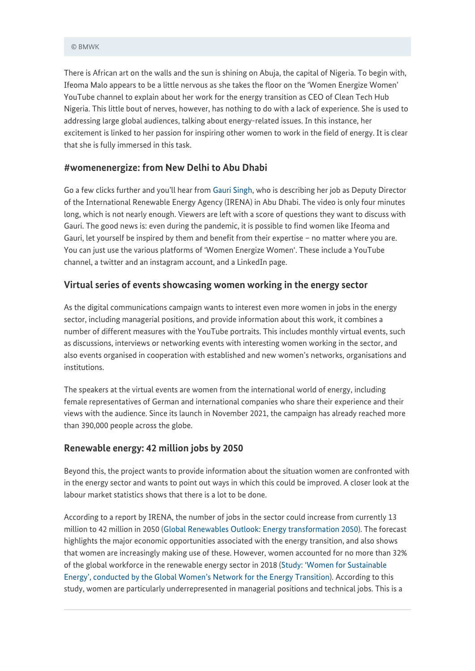There is African art on the walls and the sun is shining on Abuja, the capital of Nigeria. To begin with, Ifeoma Malo appears to be a little nervous as she takes the floor on the 'Women Energize Women' YouTube channel to explain about her work for the energy transition as CEO of Clean Tech Hub Nigeria. This little bout of nerves, however, has nothing to do with a lack of experience. She is used to addressing large global audiences, talking about energy-related issues. In this instance, her excitement is linked to her passion for inspiring other women to work in the field of energy. It is clear that she is fully immersed in this task.

#### **#womenenergize: from New Delhi to Abu Dhabi**

Go a few clicks further and you'll hear from [Gauri Singh](https://www.youtube.com/watch?v=EMujYVBgU4w), who is describing her job as Deputy Director of the International Renewable Energy Agency (IRENA) in Abu Dhabi. The video is only four minutes long, which is not nearly enough. Viewers are left with a score of questions they want to discuss with Gauri. The good news is: even during the pandemic, it is possible to find women like Ifeoma and Gauri, let yourself be inspired by them and benefit from their expertise – no matter where you are. You can just use the various platforms of 'Women Energize Women'. These include a YouTube channel, a twitter and an instagram account, and a LinkedIn page.

### **Virtual series of events showcasing women working in the energy sector**

As the digital communications campaign wants to interest even more women in jobs in the energy sector, including managerial positions, and provide information about this work, it combines a number of different measures with the YouTube portraits. This includes monthly virtual events, such as discussions, interviews or networking events with interesting women working in the sector, and also events organised in cooperation with established and new women's networks, organisations and institutions.

The speakers at the virtual events are women from the international world of energy, including female representatives of German and international companies who share their experience and their views with the audience. Since its launch in November 2021, the campaign has already reached more than 390,000 people across the globe.

#### **Renewable energy: 42 million jobs by 2050**

Beyond this, the project wants to provide information about the situation women are confronted with in the energy sector and wants to point out ways in which this could be improved. A closer look at the labour market statistics shows that there is a lot to be done.

According to a report by IRENA, the number of jobs in the sector could increase from currently 13 million to 42 million in 2050 [\(Global Renewables Outlook: Energy transformation 2050\)](https://www.irena.org/publications/2020/Apr/Global-Renewables-Outlook-2020). The forecast highlights the major economic opportunities associated with the energy transition, and also shows that women are increasingly making use of these. However, women accounted for no more than 32% of the global workforce in the renewable energy sector in 2018 ([Study: 'Women for Sustainable](https://www.globalwomennet.org/wp-content/uploads/2020/02/Gwnet-study.pdf) [Energy', conducted by the Global Women's Network for the Energy Transition](https://www.globalwomennet.org/wp-content/uploads/2020/02/Gwnet-study.pdf)). According to this study, women are particularly underrepresented in managerial positions and technical jobs. This is a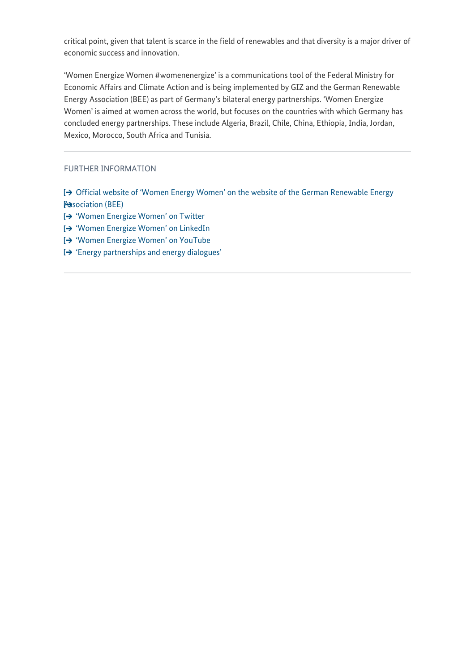critical point, given that talent is scarce in the field of renewables and that diversity is a major driver of economic success and innovation.

'Women Energize Women #womenenergize' is a communications tool of the Federal Ministry for Economic Affairs and Climate Action and is being implemented by GIZ and the German Renewable Energy Association (BEE) as part of Germany's bilateral energy partnerships. 'Women Energize Women' is aimed at women across the world, but focuses on the countries with which Germany has concluded energy partnerships. These include Algeria, Brazil, Chile, China, Ethiopia, India, Jordan, Mexico, Morocco, South Africa and Tunisia.

FURTHER INFORMATION

- [Official website of 'Women Energy Women' on the website of the German Renewable Energy](https://www.bee-ev.de/veranstaltungen/women-energize-women) **[Association \(BEE\)](https://www.bee-ev.de/veranstaltungen/women-energize-women)**
- <sup>1→</sup> ['Women Energize Women' on Twitter](https://twitter.com/womenenergize)
- <sup>1→</sup> ['Women Energize Women' on LinkedIn](https://www.linkedin.com/company/womenenergize/)
- ['Women Energize Women' on YouTube](https://www.youtube.com/channel/UCAN8lIFUkvEoBp0Cki1ALwg/featured)
- ['Energy partnerships and energy dialogues'](https://www.bmwi.de/Redaktion/EN/Artikel/Energy/international-energy-policy-2.html)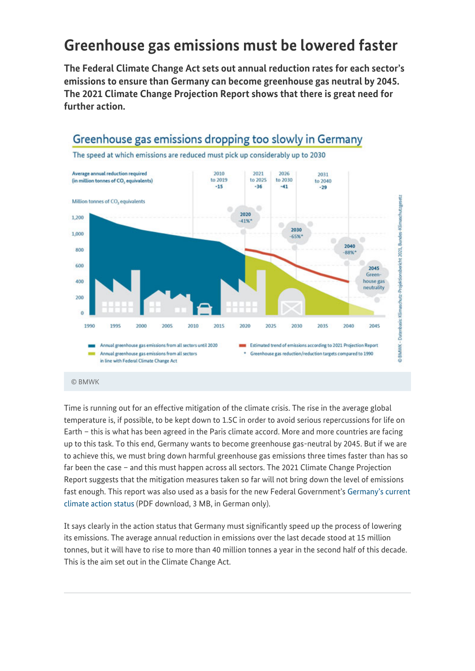# **Greenhouse gas emissions must be lowered faster**

**The Federal Climate Change Act sets out annual reduction rates for each sector's emissions to ensure than Germany can become greenhouse gas neutral by 2045. The 2021 Climate Change Projection Report shows that there is great need for further action.**



#### © BMWK

Time is running out for an effective mitigation of the climate crisis. The rise in the average global temperature is, if possible, to be kept down to 1.5C in order to avoid serious repercussions for life on Earth – this is what has been agreed in the Paris climate accord. More and more countries are facing up to this task. To this end, Germany wants to become greenhouse gas-neutral by 2045. But if we are to achieve this, we must bring down harmful greenhouse gas emissions three times faster than has so far been the case – and this must happen across all sectors. The 2021 Climate Change Projection Report suggests that the mitigation measures taken so far will not bring down the level of emissions fast enough. This report was also used as a basis for the new Federal Government's [Germany's current](https://www.bmwi.de/Redaktion/DE/Downloads/Energie/220111_eroeffnungsbilanz_klimaschutz.pdf?__blob=publicationFile&v=14) [climate action status](https://www.bmwi.de/Redaktion/DE/Downloads/Energie/220111_eroeffnungsbilanz_klimaschutz.pdf?__blob=publicationFile&v=14) (PDF download, 3 MB, in German only).

It says clearly in the action status that Germany must significantly speed up the process of lowering its emissions. The average annual reduction in emissions over the last decade stood at 15 million tonnes, but it will have to rise to more than 40 million tonnes a year in the second half of this decade. This is the aim set out in the Climate Change Act.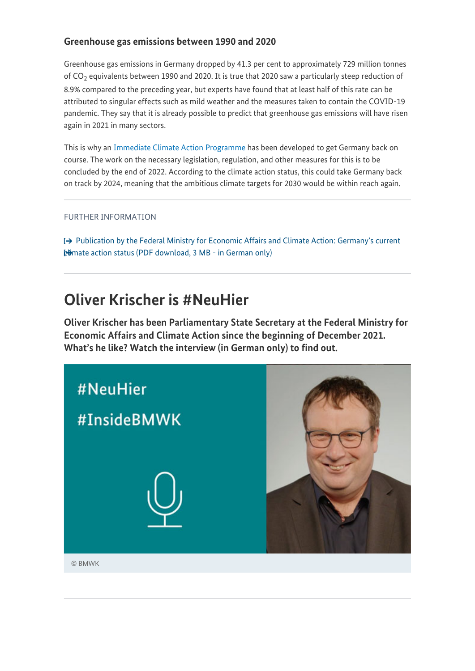### **Greenhouse gas emissions between 1990 and 2020**

Greenhouse gas emissions in Germany dropped by 41.3 per cent to approximately 729 million tonnes of CO $_{\rm 2}$  equivalents between 1990 and 2020. It is true that 2020 saw a particularly steep reduction of 8.9% compared to the preceding year, but experts have found that at least half of this rate can be attributed to singular effects such as mild weather and the measures taken to contain the COVID-19 pandemic. They say that it is already possible to predict that greenhouse gas emissions will have risen again in 2021 in many sectors.

This is why an [Immediate Climate Action Programme](https://www.bmwi-energiewende.de/EWD/Redaktion/EN/Newsletter/2022/01/Meldung/topthema.html) has been developed to get Germany back on course. The work on the necessary legislation, regulation, and other measures for this is to be concluded by the end of 2022. According to the climate action status, this could take Germany back on track by 2024, meaning that the ambitious climate targets for 2030 would be within reach again.

#### FURTHER INFORMATION

 $\rightarrow$  [Publication by the Federal Ministry for Economic Affairs and Climate Action: Germany's current](https://www.bmwi.de/Redaktion/DE/Downloads/Energie/220111_eroeffnungsbilanz_klimaschutz.pdf?__blob=publicationFile&v=14) **[climate action status \(PDF download, 3 MB - in German only\)](https://www.bmwi.de/Redaktion/DE/Downloads/Energie/220111_eroeffnungsbilanz_klimaschutz.pdf?__blob=publicationFile&v=14)** 

### **Oliver Krischer is #NeuHier**

**Oliver Krischer has been Parliamentary State Secretary at the Federal Ministry for Economic Affairs and Climate Action since the beginning of December 2021. What's he like? Watch the interview (in German only) to find out.**

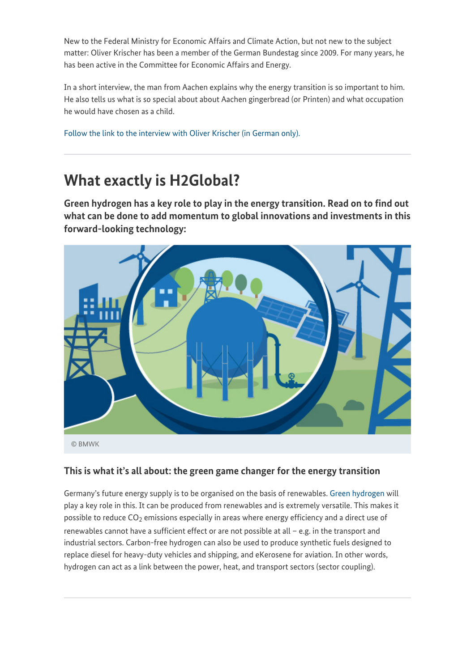New to the Federal Ministry for Economic Affairs and Climate Action, but not new to the subject matter: Oliver Krischer has been a member of the German Bundestag since 2009. For many years, he has been active in the Committee for Economic Affairs and Energy.

In a short interview, the man from Aachen explains why the energy transition is so important to him. He also tells us what is so special about about Aachen gingerbread (or Printen) and what occupation he would have chosen as a child.

[Follow the link to the interview with Oliver Krischer \(in German only\).](https://www.youtube.com/watch?v=d1ESf4d3IQA)

# **What exactly is H2Global?**

**Green hydrogen has a key role to play in the energy transition. Read on to find out what can be done to add momentum to global innovations and investments in this forward-looking technology:**



© BMWK

### **This is what it's all about: the green game changer for the energy transition**

Germany's future energy supply is to be organised on the basis of renewables. [Green hydrogen](https://www.bmwi.de/Redaktion/DE/Dossier/wasserstoff.html) will play a key role in this. It can be produced from renewables and is extremely versatile. This makes it possible to reduce CO $_2$  emissions especially in areas where energy efficiency and a direct use of renewables cannot have a sufficient effect or are not possible at all – e.g. in the transport and industrial sectors. Carbon-free hydrogen can also be used to produce synthetic fuels designed to replace diesel for heavy-duty vehicles and shipping, and eKerosene for aviation. In other words, hydrogen can act as a link between the power, heat, and transport sectors (sector coupling).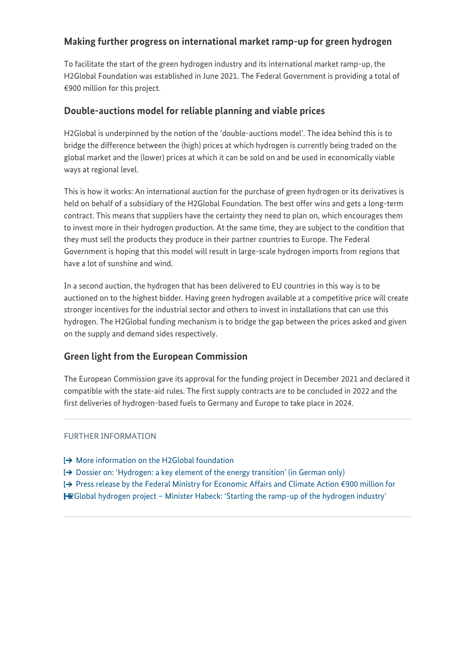### **Making further progress on international market ramp-up for green hydrogen**

To facilitate the start of the green hydrogen industry and its international market ramp-up, the H2Global Foundation was established in June 2021. The Federal Government is providing a total of €900 million for this project.

### **Double-auctions model for reliable planning and viable prices**

H2Global is underpinned by the notion of the 'double-auctions model'. The idea behind this is to bridge the difference between the (high) prices at which hydrogen is currently being traded on the global market and the (lower) prices at which it can be sold on and be used in economically viable ways at regional level.

This is how it works: An international auction for the purchase of green hydrogen or its derivatives is held on behalf of a subsidiary of the H2Global Foundation. The best offer wins and gets a long-term contract. This means that suppliers have the certainty they need to plan on, which encourages them to invest more in their hydrogen production. At the same time, they are subject to the condition that they must sell the products they produce in their partner countries to Europe. The Federal Government is hoping that this model will result in large-scale hydrogen imports from regions that have a lot of sunshine and wind.

In a second auction, the hydrogen that has been delivered to EU countries in this way is to be auctioned on to the highest bidder. Having green hydrogen available at a competitive price will create stronger incentives for the industrial sector and others to invest in installations that can use this hydrogen. The H2Global funding mechanism is to bridge the gap between the prices asked and given on the supply and demand sides respectively.

### **Green light from the European Commission**

The European Commission gave its approval for the funding project in December 2021 and declared it compatible with the state-aid rules. The first supply contracts are to be concluded in 2022 and the first deliveries of hydrogen-based fuels to Germany and Europe to take place in 2024.

#### FURTHER INFORMATION

 $\rightarrow$  [More information on the H2Global foundation](https://www.h2global-stiftung.com/)

 $\rightarrow$  [Dossier on: 'Hydrogen: a key element of the energy transition' \(in German only\)](https://www.bmwi.de/Redaktion/DE/Dossier/wasserstoff.html)

[Press release by the Federal Ministry for Economic Affairs and Climate Action €900 million for](https://www.bmwi.de/Redaktion/EN/Pressemitteilungen/2021/12/20211223-900-million-euro-for-h2global-hydrogen-project.html)

[H2Global hydrogen project – Minister Habeck: 'Starting the ramp-up of the hydrogen industry'](https://www.bmwi.de/Redaktion/EN/Pressemitteilungen/2021/12/20211223-900-million-euro-for-h2global-hydrogen-project.html)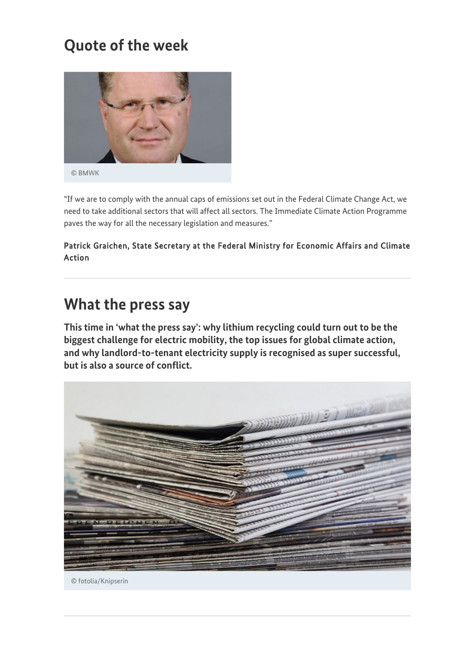# **Quote of the week**



© BMWK

"If we are to comply with the annual caps of emissions set out in the Federal Climate Change Act, we need to take additional sectors that will affect all sectors. The Immediate Climate Action Programme paves the way for all the necessary legislation and measures."

Patrick Graichen, State Secretary at the Federal Ministry for Economic Affairs and Climate<br>Action

# **What the press say**

**This time in 'what the press say': why lithium recycling could turn out to be the biggest challenge for electric mobility, the top issues for global climate action, and why landlord-to-tenant electricity supply is recognised as super successful, but is also a source of conflict.**



© fotolia/Knipserin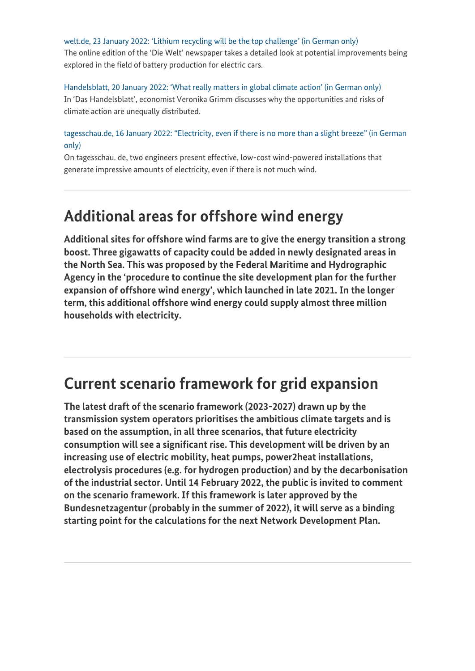[welt.de, 23 January 2022: 'Lithium recycling will be the top challenge' \(in German only\)](https://www.welt.de/wissenschaft/article236416129/Rohstoffe-fuer-E-Autos-Lithium-Recycling-wird-die-Top-Aufgabe.html) The online edition of the 'Die Welt' newspaper takes a detailed look at potential improvements being explored in the field of battery production for electric cars.

[Handelsblatt, 20 January 2022: 'What really matters in global climate action' \(in German only\)](https://www.handelsblatt.com/meinung/gastbeitraege/gastkommentar-global-challenges-worauf-es-beim-globalen-klimaschutz-ankommt/27985164.html?ticket=ST-53647-y9b2DcOAkLwibR7yKe4r-ap3) In 'Das Handelsblatt', economist Veronika Grimm discusses why the opportunities and risks of climate action are unequally distributed.

### [tagesschau.de, 16 January 2022: "Electricity, even if there is no more than a slight breeze" \(in German](https://www.tagesschau.de/wirtschaft/technologie/windkraft-flaute-neuentwicklung-101.html) [only\)](https://www.tagesschau.de/wirtschaft/technologie/windkraft-flaute-neuentwicklung-101.html)

On tagesschau. de, two engineers present effective, low-cost wind-powered installations that generate impressive amounts of electricity, even if there is not much wind.

## **Additional areas for offshore wind energy**

**Additional sites for offshore wind farms are to give the energy transition a strong boost. Three gigawatts of capacity could be added in newly designated areas in the North Sea. This was proposed by the Federal Maritime and Hydrographic Agency in the 'procedure to continue the site development plan for the further expansion of offshore wind energy', which launched in late 2021. In the longer term, this additional offshore wind energy could supply almost three million households with electricity.**

## **Current scenario framework for grid expansion**

**The latest draft of the scenario framework (2023-2027) drawn up by the transmission system operators prioritises the ambitious climate targets and is based on the assumption, in all three scenarios, that future electricity consumption will see a significant rise. This development will be driven by an increasing use of electric mobility, heat pumps, power2heat installations, electrolysis procedures (e.g. for hydrogen production) and by the decarbonisation of the industrial sector. Until 14 February 2022, the public is invited to comment on the scenario framework. If this framework is later approved by the Bundesnetzagentur (probably in the summer of 2022), it will serve as a binding starting point for the calculations for the next Network Development Plan.**